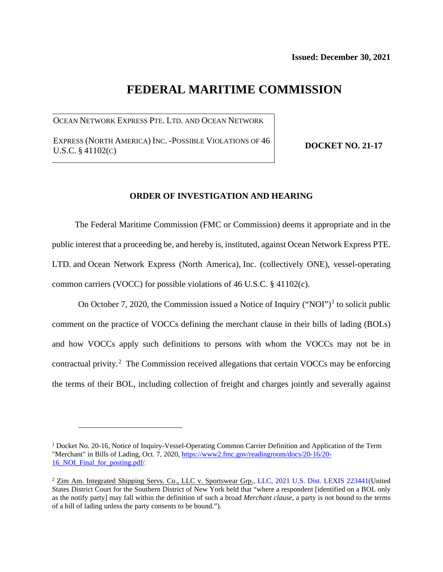# **FEDERAL MARITIME COMMISSION**

OCEAN NETWORK EXPRESS PTE. LTD. AND OCEAN NETWORK

EXPRESS (NORTH AMERICA) INC. -POSSIBLE VIOLATIONS OF 46 U.S.C. § 41102(C)

**DOCKET NO. 21-17**

#### **ORDER OF INVESTIGATION AND HEARING**

The Federal Maritime Commission (FMC or Commission) deems it appropriate and in the public interest that a proceeding be, and hereby is, instituted, against Ocean Network Express PTE. LTD. and Ocean Network Express (North America), Inc. (collectively ONE), vessel-operating common carriers (VOCC) for possible violations of 46 U.S.C. § 41102(c).

On October 7, 2020, the Commission issued a Notice of Inquiry ("NOI")<sup>[1](#page-0-0)</sup> to solicit public comment on the practice of VOCCs defining the merchant clause in their bills of lading (BOLs) and how VOCCs apply such definitions to persons with whom the VOCCs may not be in contractual privity.<sup>[2](#page-0-1)</sup> The Commission received allegations that certain VOCCs may be enforcing the terms of their BOL, including collection of freight and charges jointly and severally against

<span id="page-0-0"></span> $1$  Docket No. 20-16, Notice of Inquiry-Vessel-Operating Common Carrier Definition and Application of the Term "Merchant" in Bills of Lading, Oct. 7, 2020, [https://www2.fmc.gov/readingroom/docs/20-16/20-](https://www2.fmc.gov/readingroom/docs/20-16/20-16_NOI_Final_for_posting.pdf/) 16 NOI Final for posting.pdf/.

<span id="page-0-1"></span><sup>&</sup>lt;sup>2</sup> [Zim Am. Integrated Shipping Servs. Co., LLC v. Sportswear Grp., LLC, 2021 U.S. Dist. LEXIS 223441\(](https://advance.lexis.com/api/document?id=urn:contentItem:6441-PYX1-JPGX-S1HX-00000-00&idtype=PID&context=1000516)United States District Court for the Southern District of New York held that "where a respondent [identified on a BOL only as the notify party] may fall within the definition of such a broad *Merchant clause*, a party is not bound to the terms of a bill of lading unless the party consents to be bound.").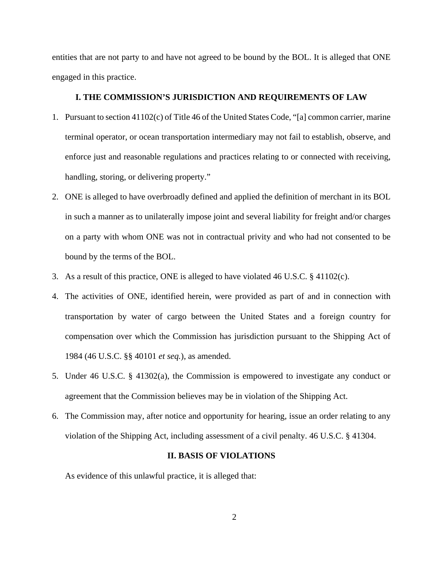entities that are not party to and have not agreed to be bound by the BOL. It is alleged that ONE engaged in this practice.

## **I. THE COMMISSION'S JURISDICTION AND REQUIREMENTS OF LAW**

- 1. Pursuant to section 41102(c) of Title 46 of the United States Code, "[a] common carrier, marine terminal operator, or ocean transportation intermediary may not fail to establish, observe, and enforce just and reasonable regulations and practices relating to or connected with receiving, handling, storing, or delivering property."
- 2. ONE is alleged to have overbroadly defined and applied the definition of merchant in its BOL in such a manner as to unilaterally impose joint and several liability for freight and/or charges on a party with whom ONE was not in contractual privity and who had not consented to be bound by the terms of the BOL.
- 3. As a result of this practice, ONE is alleged to have violated 46 U.S.C. § 41102(c).
- 4. The activities of ONE, identified herein, were provided as part of and in connection with transportation by water of cargo between the United States and a foreign country for compensation over which the Commission has jurisdiction pursuant to the Shipping Act of 1984 (46 U.S.C. §§ 40101 *et seq.*), as amended.
- 5. Under 46 U.S.C. § 41302(a), the Commission is empowered to investigate any conduct or agreement that the Commission believes may be in violation of the Shipping Act.
- 6. The Commission may, after notice and opportunity for hearing, issue an order relating to any violation of the Shipping Act, including assessment of a civil penalty. 46 U.S.C. § 41304.

#### **II. BASIS OF VIOLATIONS**

As evidence of this unlawful practice, it is alleged that: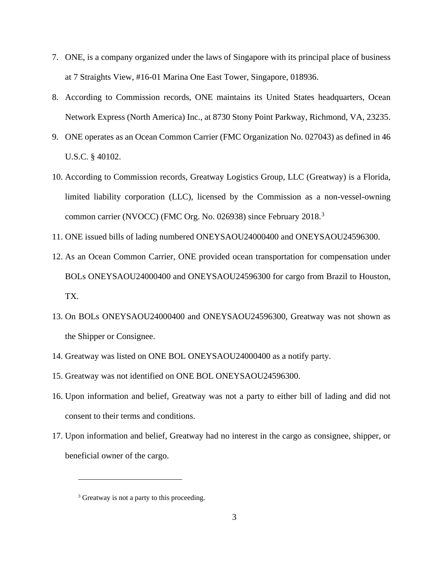- 7. ONE, is a company organized under the laws of Singapore with its principal place of business at 7 Straights View, #16-01 Marina One East Tower, Singapore, 018936.
- 8. According to Commission records, ONE maintains its United States headquarters, Ocean Network Express (North America) Inc., at 8730 Stony Point Parkway, Richmond, VA, 23235.
- 9. ONE operates as an Ocean Common Carrier (FMC Organization No. 027043) as defined in 46 U.S.C. § 40102.
- 10. According to Commission records, Greatway Logistics Group, LLC (Greatway) is a Florida, limited liability corporation (LLC), licensed by the Commission as a non-vessel-owning common carrier (NVOCC) (FMC Org. No. 0269[3](#page-2-0)8) since February 2018.<sup>3</sup>
- 11. ONE issued bills of lading numbered ONEYSAOU24000400 and ONEYSAOU24596300.
- 12. As an Ocean Common Carrier, ONE provided ocean transportation for compensation under BOLs ONEYSAOU24000400 and ONEYSAOU24596300 for cargo from Brazil to Houston, TX.
- 13. On BOLs ONEYSAOU24000400 and ONEYSAOU24596300, Greatway was not shown as the Shipper or Consignee.
- 14. Greatway was listed on ONE BOL ONEYSAOU24000400 as a notify party.
- 15. Greatway was not identified on ONE BOL ONEYSAOU24596300.
- 16. Upon information and belief, Greatway was not a party to either bill of lading and did not consent to their terms and conditions.
- 17. Upon information and belief, Greatway had no interest in the cargo as consignee, shipper, or beneficial owner of the cargo.

<span id="page-2-0"></span><sup>&</sup>lt;sup>3</sup> Greatway is not a party to this proceeding.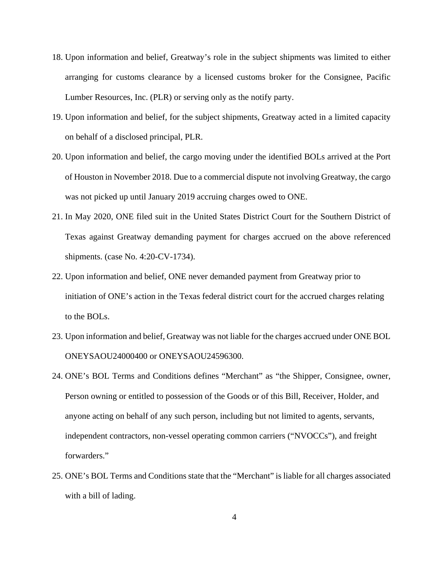- 18. Upon information and belief, Greatway's role in the subject shipments was limited to either arranging for customs clearance by a licensed customs broker for the Consignee, Pacific Lumber Resources, Inc. (PLR) or serving only as the notify party.
- 19. Upon information and belief, for the subject shipments, Greatway acted in a limited capacity on behalf of a disclosed principal, PLR.
- 20. Upon information and belief, the cargo moving under the identified BOLs arrived at the Port of Houston in November 2018. Due to a commercial dispute not involving Greatway, the cargo was not picked up until January 2019 accruing charges owed to ONE.
- 21. In May 2020, ONE filed suit in the United States District Court for the Southern District of Texas against Greatway demanding payment for charges accrued on the above referenced shipments. (case No. 4:20-CV-1734).
- 22. Upon information and belief, ONE never demanded payment from Greatway prior to initiation of ONE's action in the Texas federal district court for the accrued charges relating to the BOLs.
- 23. Upon information and belief, Greatway was not liable for the charges accrued under ONE BOL ONEYSAOU24000400 or ONEYSAOU24596300.
- 24. ONE's BOL Terms and Conditions defines "Merchant" as "the Shipper, Consignee, owner, Person owning or entitled to possession of the Goods or of this Bill, Receiver, Holder, and anyone acting on behalf of any such person, including but not limited to agents, servants, independent contractors, non-vessel operating common carriers ("NVOCCs"), and freight forwarders."
- 25. ONE's BOL Terms and Conditions state that the "Merchant" is liable for all charges associated with a bill of lading.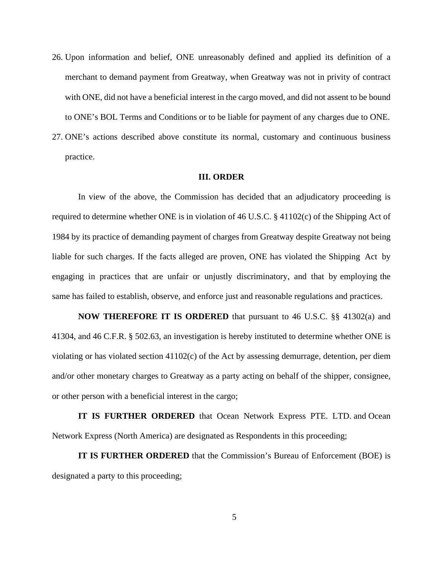- 26. Upon information and belief, ONE unreasonably defined and applied its definition of a merchant to demand payment from Greatway, when Greatway was not in privity of contract with ONE, did not have a beneficial interest in the cargo moved, and did not assent to be bound to ONE's BOL Terms and Conditions or to be liable for payment of any charges due to ONE.
- 27. ONE's actions described above constitute its normal, customary and continuous business practice.

## **III. ORDER**

In view of the above, the Commission has decided that an adjudicatory proceeding is required to determine whether ONE is in violation of 46 U.S.C. § 41102(c) of the Shipping Act of 1984 by its practice of demanding payment of charges from Greatway despite Greatway not being liable for such charges. If the facts alleged are proven, ONE has violated the Shipping Act by engaging in practices that are unfair or unjustly discriminatory, and that by employing the same has failed to establish, observe, and enforce just and reasonable regulations and practices.

**NOW THEREFORE IT IS ORDERED** that pursuant to 46 U.S.C. §§ 41302(a) and 41304, and 46 C.F.R. § 502.63, an investigation is hereby instituted to determine whether ONE is violating or has violated section 41102(c) of the Act by assessing demurrage, detention, per diem and/or other monetary charges to Greatway as a party acting on behalf of the shipper, consignee, or other person with a beneficial interest in the cargo;

**IT IS FURTHER ORDERED** that Ocean Network Express PTE. LTD. and Ocean Network Express (North America) are designated as Respondents in this proceeding;

**IT IS FURTHER ORDERED** that the Commission's Bureau of Enforcement (BOE) is designated a party to this proceeding;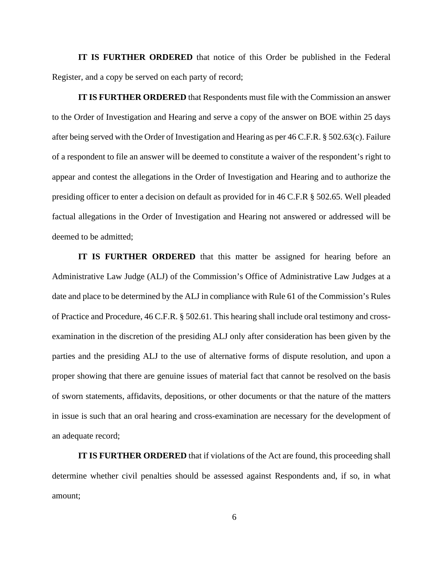**IT IS FURTHER ORDERED** that notice of this Order be published in the Federal Register, and a copy be served on each party of record;

**IT IS FURTHER ORDERED** that Respondents must file with the Commission an answer to the Order of Investigation and Hearing and serve a copy of the answer on BOE within 25 days after being served with the Order of Investigation and Hearing as per 46 C.F.R. § 502.63(c). Failure of a respondent to file an answer will be deemed to constitute a waiver of the respondent's right to appear and contest the allegations in the Order of Investigation and Hearing and to authorize the presiding officer to enter a decision on default as provided for in 46 C.F.R § 502.65. Well pleaded factual allegations in the Order of Investigation and Hearing not answered or addressed will be deemed to be admitted;

**IT IS FURTHER ORDERED** that this matter be assigned for hearing before an Administrative Law Judge (ALJ) of the Commission's Office of Administrative Law Judges at a date and place to be determined by the ALJ in compliance with Rule 61 of the Commission's Rules of Practice and Procedure, 46 C.F.R. § 502.61. This hearing shall include oral testimony and crossexamination in the discretion of the presiding ALJ only after consideration has been given by the parties and the presiding ALJ to the use of alternative forms of dispute resolution, and upon a proper showing that there are genuine issues of material fact that cannot be resolved on the basis of sworn statements, affidavits, depositions, or other documents or that the nature of the matters in issue is such that an oral hearing and cross-examination are necessary for the development of an adequate record;

**IT IS FURTHER ORDERED** that if violations of the Act are found, this proceeding shall determine whether civil penalties should be assessed against Respondents and, if so, in what amount;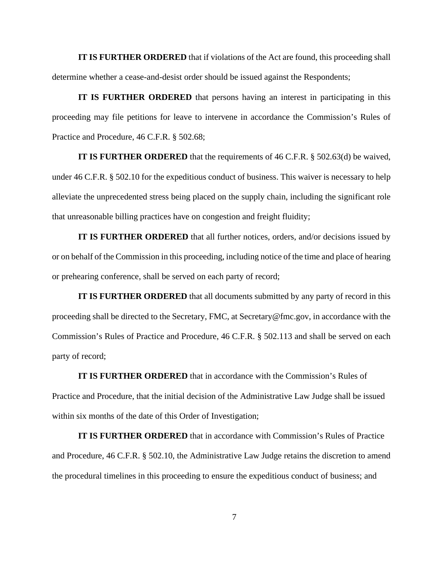**IT IS FURTHER ORDERED** that if violations of the Act are found, this proceeding shall determine whether a cease-and-desist order should be issued against the Respondents;

**IT IS FURTHER ORDERED** that persons having an interest in participating in this proceeding may file petitions for leave to intervene in accordance the Commission's Rules of Practice and Procedure, 46 C.F.R. § 502.68;

**IT IS FURTHER ORDERED** that the requirements of 46 C.F.R. § 502.63(d) be waived, under 46 C.F.R. § 502.10 for the expeditious conduct of business. This waiver is necessary to help alleviate the unprecedented stress being placed on the supply chain, including the significant role that unreasonable billing practices have on congestion and freight fluidity;

**IT IS FURTHER ORDERED** that all further notices, orders, and/or decisions issued by or on behalf of the Commission in this proceeding, including notice of the time and place of hearing or prehearing conference, shall be served on each party of record;

**IT IS FURTHER ORDERED** that all documents submitted by any party of record in this proceeding shall be directed to the Secretary, FMC, at Secretary@fmc.gov, in accordance with the Commission's Rules of Practice and Procedure, 46 C.F.R. § 502.113 and shall be served on each party of record;

**IT IS FURTHER ORDERED** that in accordance with the Commission's Rules of Practice and Procedure, that the initial decision of the Administrative Law Judge shall be issued within six months of the date of this Order of Investigation;

**IT IS FURTHER ORDERED** that in accordance with Commission's Rules of Practice and Procedure, 46 C.F.R. § 502.10, the Administrative Law Judge retains the discretion to amend the procedural timelines in this proceeding to ensure the expeditious conduct of business; and